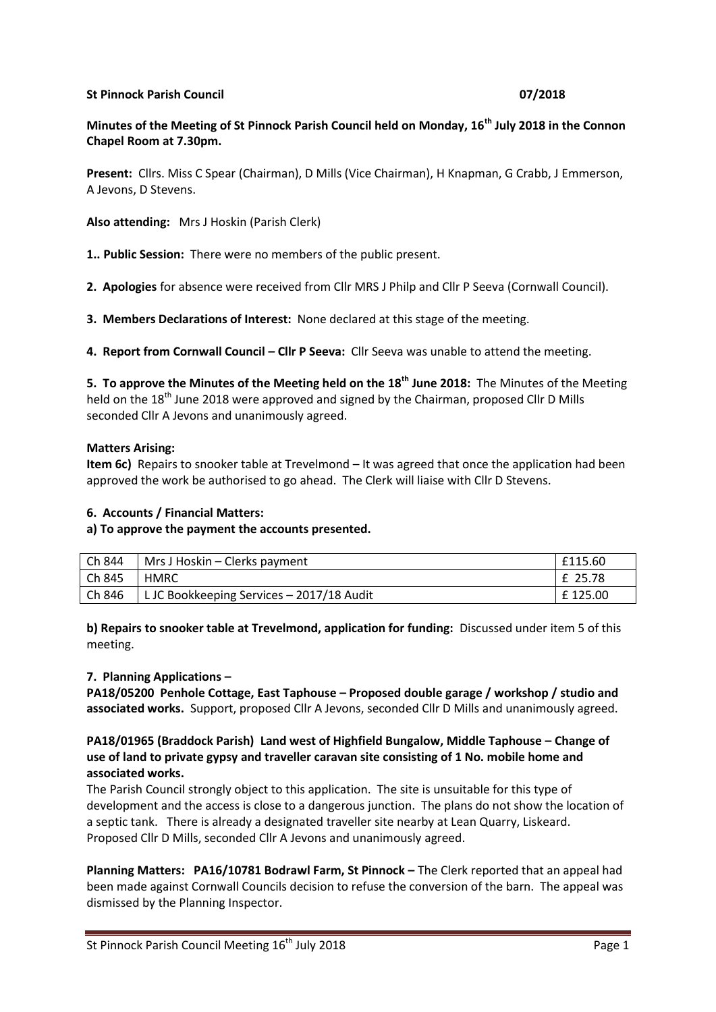#### **St Pinnock Parish Council 07/2018**

# **Minutes of the Meeting of St Pinnock Parish Council held on Monday, 16th July 2018 in the Connon Chapel Room at 7.30pm.**

**Present:** Cllrs. Miss C Spear (Chairman), D Mills (Vice Chairman), H Knapman, G Crabb, J Emmerson, A Jevons, D Stevens.

**Also attending:** Mrs J Hoskin (Parish Clerk)

**1.. Public Session:** There were no members of the public present.

**2. Apologies** for absence were received from Cllr MRS J Philp and Cllr P Seeva (Cornwall Council).

**3. Members Declarations of Interest:** None declared at this stage of the meeting.

**4. Report from Cornwall Council - Cllr P Seeva:** Cllr Seeva was unable to attend the meeting.

**5. To approve the Minutes of the Meeting held on the 18th June 2018:** The Minutes of the Meeting held on the 18<sup>th</sup> June 2018 were approved and signed by the Chairman, proposed Cllr D Mills seconded Cllr A Jevons and unanimously agreed.

#### **Matters Arising:**

**Item 6c)** Repairs to snooker table at Trevelmond – It was agreed that once the application had been approved the work be authorised to go ahead. The Clerk will liaise with Cllr D Stevens.

#### **6. Accounts / Financial Matters:**

#### **a) To approve the payment the accounts presented.**

| Ch 844 | Mrs J Hoskin – Clerks payment             | £115.60 |
|--------|-------------------------------------------|---------|
| Ch 845 | <b>HMRC</b>                               | £ 25.78 |
| Ch 846 | L JC Bookkeeping Services - 2017/18 Audit | £125.00 |

**b) Repairs to snooker table at Trevelmond, application for funding:** Discussed under item 5 of this meeting.

#### **7. Planning Applications –**

**PA18/05200 Penhole Cottage, East Taphouse – Proposed double garage / workshop / studio and associated works.** Support, proposed Cllr A Jevons, seconded Cllr D Mills and unanimously agreed.

#### **PA18/01965 (Braddock Parish) Land west of Highfield Bungalow, Middle Taphouse – Change of use of land to private gypsy and traveller caravan site consisting of 1 No. mobile home and associated works.**

The Parish Council strongly object to this application. The site is unsuitable for this type of development and the access is close to a dangerous junction. The plans do not show the location of a septic tank. There is already a designated traveller site nearby at Lean Quarry, Liskeard. Proposed Cllr D Mills, seconded Cllr A Jevons and unanimously agreed.

**Planning Matters: PA16/10781 Bodrawl Farm, St Pinnock –** The Clerk reported that an appeal had been made against Cornwall Councils decision to refuse the conversion of the barn. The appeal was dismissed by the Planning Inspector.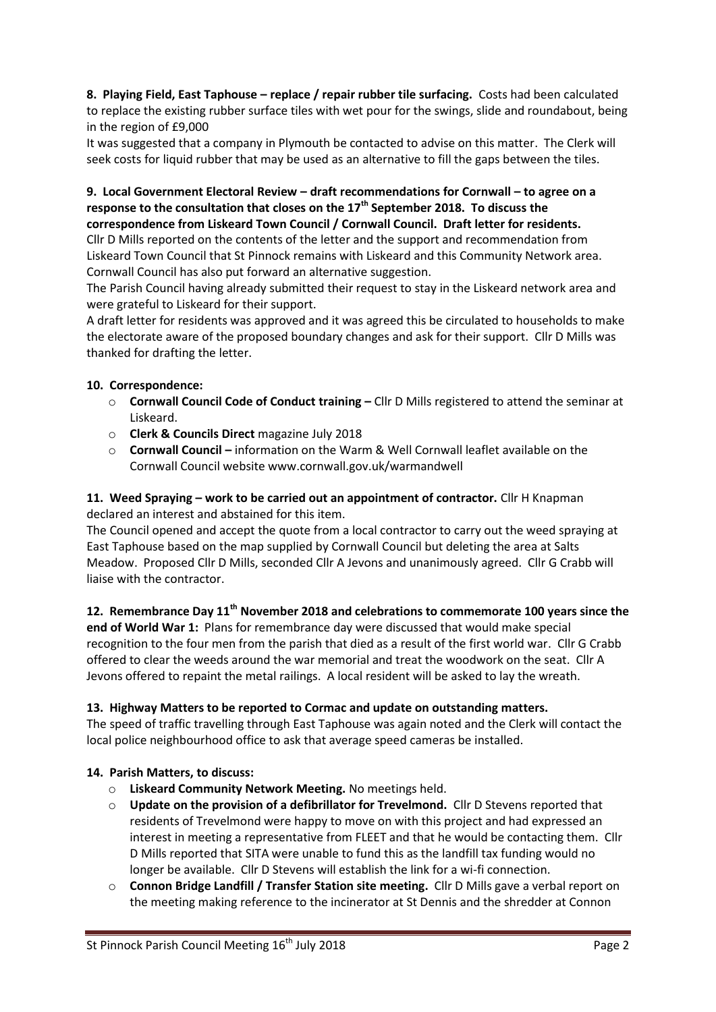**8. Playing Field, East Taphouse – replace / repair rubber tile surfacing.** Costs had been calculated to replace the existing rubber surface tiles with wet pour for the swings, slide and roundabout, being in the region of £9,000

It was suggested that a company in Plymouth be contacted to advise on this matter. The Clerk will seek costs for liquid rubber that may be used as an alternative to fill the gaps between the tiles.

### **9. Local Government Electoral Review – draft recommendations for Cornwall – to agree on a response to the consultation that closes on the 17th September 2018. To discuss the correspondence from Liskeard Town Council / Cornwall Council. Draft letter for residents.**

Cllr D Mills reported on the contents of the letter and the support and recommendation from Liskeard Town Council that St Pinnock remains with Liskeard and this Community Network area. Cornwall Council has also put forward an alternative suggestion.

The Parish Council having already submitted their request to stay in the Liskeard network area and were grateful to Liskeard for their support.

A draft letter for residents was approved and it was agreed this be circulated to households to make the electorate aware of the proposed boundary changes and ask for their support. Cllr D Mills was thanked for drafting the letter.

# **10. Correspondence:**

- o **Cornwall Council Code of Conduct training –** Cllr D Mills registered to attend the seminar at Liskeard.
- o **Clerk & Councils Direct** magazine July 2018
- o **Cornwall Council –** information on the Warm & Well Cornwall leaflet available on the Cornwall Council website www.cornwall.gov.uk/warmandwell

# **11. Weed Spraying – work to be carried out an appointment of contractor.** Cllr H Knapman declared an interest and abstained for this item.

The Council opened and accept the quote from a local contractor to carry out the weed spraying at East Taphouse based on the map supplied by Cornwall Council but deleting the area at Salts Meadow. Proposed Cllr D Mills, seconded Cllr A Jevons and unanimously agreed. Cllr G Crabb will liaise with the contractor.

# **12. Remembrance Day 11th November 2018 and celebrations to commemorate 100 years since the**

**end of World War 1:** Plans for remembrance day were discussed that would make special recognition to the four men from the parish that died as a result of the first world war. Cllr G Crabb offered to clear the weeds around the war memorial and treat the woodwork on the seat. Cllr A Jevons offered to repaint the metal railings. A local resident will be asked to lay the wreath.

# **13. Highway Matters to be reported to Cormac and update on outstanding matters.**

The speed of traffic travelling through East Taphouse was again noted and the Clerk will contact the local police neighbourhood office to ask that average speed cameras be installed.

# **14. Parish Matters, to discuss:**

- o **Liskeard Community Network Meeting.** No meetings held.
- o **Update on the provision of a defibrillator for Trevelmond.** Cllr D Stevens reported that residents of Trevelmond were happy to move on with this project and had expressed an interest in meeting a representative from FLEET and that he would be contacting them. Cllr D Mills reported that SITA were unable to fund this as the landfill tax funding would no longer be available. Cllr D Stevens will establish the link for a wi-fi connection.
- o **Connon Bridge Landfill / Transfer Station site meeting.** Cllr D Mills gave a verbal report on the meeting making reference to the incinerator at St Dennis and the shredder at Connon